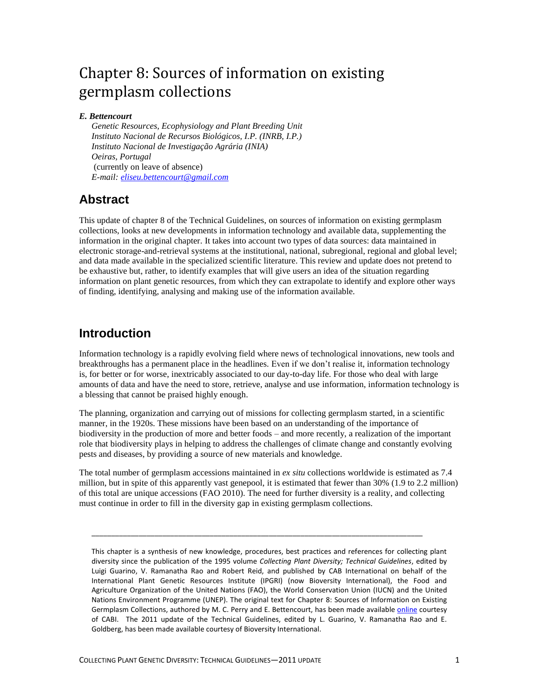# Chapter 8: Sources of information on existing germplasm collections

#### *E. Bettencourt*

*Genetic Resources, Ecophysiology and Plant Breeding Unit Instituto Nacional de Recursos Biológicos, I.P. (INRB, I.P.) Instituto Nacional de Investigação Agrária (INIA) Oeiras, Portugal* (currently on leave of absence) *E-mail: [eliseu.bettencourt@gmail.com](mailto:eliseu.bettencourt@gmail.com)*

### **Abstract**

This update of chapter 8 of the Technical Guidelines, on sources of information on existing germplasm collections, looks at new developments in information technology and available data, supplementing the information in the original chapter. It takes into account two types of data sources: data maintained in electronic storage-and-retrieval systems at the institutional, national, subregional, regional and global level; and data made available in the specialized scientific literature. This review and update does not pretend to be exhaustive but, rather, to identify examples that will give users an idea of the situation regarding information on plant genetic resources, from which they can extrapolate to identify and explore other ways of finding, identifying, analysing and making use of the information available.

### **Introduction**

Information technology is a rapidly evolving field where news of technological innovations, new tools and breakthroughs has a permanent place in the headlines. Even if we don't realise it, information technology is, for better or for worse, inextricably associated to our day-to-day life. For those who deal with large amounts of data and have the need to store, retrieve, analyse and use information, information technology is a blessing that cannot be praised highly enough.

The planning, organization and carrying out of missions for collecting germplasm started, in a scientific manner, in the 1920s. These missions have been based on an understanding of the importance of biodiversity in the production of more and better foods – and more recently, a realization of the important role that biodiversity plays in helping to address the challenges of climate change and constantly evolving pests and diseases, by providing a source of new materials and knowledge.

The total number of germplasm accessions maintained in *ex situ* collections worldwide is estimated as 7.4 million, but in spite of this apparently vast genepool, it is estimated that fewer than 30% (1.9 to 2.2 million) of this total are unique accessions (FAO 2010). The need for further diversity is a reality, and collecting must continue in order to fill in the diversity gap in existing germplasm collections.

\_\_\_\_\_\_\_\_\_\_\_\_\_\_\_\_\_\_\_\_\_\_\_\_\_\_\_\_\_\_\_\_\_\_\_\_\_\_\_\_\_\_\_\_\_\_\_\_\_\_\_\_\_\_\_\_\_\_\_\_\_\_\_\_\_\_\_\_\_\_\_\_\_\_\_\_\_\_\_\_\_\_\_\_

This chapter is a synthesis of new knowledge, procedures, best practices and references for collecting plant diversity since the publication of the 1995 volume *Collecting Plant Diversity; Technical Guidelines*, edited by Luigi Guarino, V. Ramanatha Rao and Robert Reid, and published by CAB International on behalf of the International Plant Genetic Resources Institute (IPGRI) (now Bioversity International), the Food and Agriculture Organization of the United Nations (FAO), the World Conservation Union (IUCN) and the United Nations Environment Programme (UNEP). The original text for Chapter 8: Sources of Information on Existing Germplasm Collections, authored by M. C. Perry and E. Bettencourt, has been made available **online** courtesy of CABI. The 2011 update of the Technical Guidelines, edited by L. Guarino, V. Ramanatha Rao and E. Goldberg, has been made available courtesy of Bioversity International.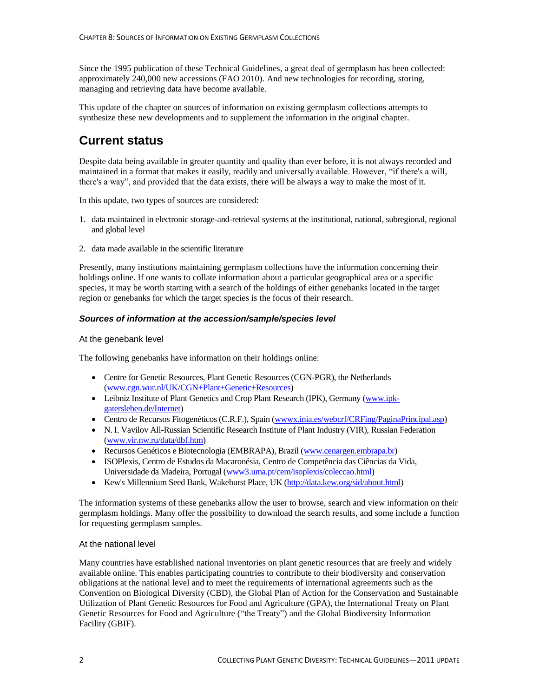Since the 1995 publication of these Technical Guidelines, a great deal of germplasm has been collected: approximately 240,000 new accessions (FAO 2010). And new technologies for recording, storing, managing and retrieving data have become available.

This update of the chapter on sources of information on existing germplasm collections attempts to synthesize these new developments and to supplement the information in the original chapter.

# **Current status**

Despite data being available in greater quantity and quality than ever before, it is not always recorded and maintained in a format that makes it easily, readily and universally available. However, "if there's a will, there's a way", and provided that the data exists, there will be always a way to make the most of it.

In this update, two types of sources are considered:

- 1. data maintained in electronic storage-and-retrieval systems at the institutional, national, subregional, regional and global level
- 2. data made available in the scientific literature

Presently, many institutions maintaining germplasm collections have the information concerning their holdings online. If one wants to collate information about a particular geographical area or a specific species, it may be worth starting with a search of the holdings of either genebanks located in the target region or genebanks for which the target species is the focus of their research.

#### *Sources of information at the accession/sample/species level*

#### At the genebank level

The following genebanks have information on their holdings online:

- Centre for Genetic Resources, Plant Genetic Resources (CGN-PGR), the Netherlands [\(www.cgn.wur.nl/UK/CGN+Plant+Genetic+Resources\)](http://www.cgn.wur.nl/UK/CGN+Plant+Genetic+Resources/)
- Leibniz Institute of Plant Genetics and Crop Plant Research (IPK), Germany [\(www.ipk](http://www.ipk-gatersleben.de/Internet)[gatersleben.de/Internet\)](http://www.ipk-gatersleben.de/Internet)
- Centro de Recursos Fitogenéticos (C.R.F.), Spain (www.inia.es/webcrf/CRFing/PaginaPrincipal.asp)
- N. I. Vavilov All-Russian Scientific Research Institute of Plant Industry (VIR), Russian Federation [\(www.vir.nw.ru/data/dbf.htm\)](http://www.vir.nw.ru/data/dbf.htm)
- Recursos Genéticos e Biotecnologia (EMBRAPA), Brazil [\(www.cenargen.embrapa.br\)](http://www.cenargen.embrapa.br/)
- ISOPlexis, Centro de Estudos da Macaronésia, Centro de Competência das Ciências da Vida, Universidade da Madeira, Portugal [\(www3.uma.pt/cem/isoplexis/coleccao.html\)](http://www3.uma.pt/cem/isoplexis/coleccao.html)
- Kew's Millennium Seed Bank, Wakehurst Place, UK [\(http://data.kew.org/sid/about.html\)](http://data.kew.org/sid/about.html)

The information systems of these genebanks allow the user to browse, search and view information on their germplasm holdings. Many offer the possibility to download the search results, and some include a function for requesting germplasm samples.

#### At the national level

Many countries have established national inventories on plant genetic resources that are freely and widely available online. This enables participating countries to contribute to their biodiversity and conservation obligations at the national level and to meet the requirements of international agreements such as the Convention on Biological Diversity (CBD), the Global Plan of Action for the Conservation and Sustainable Utilization of Plant Genetic Resources for Food and Agriculture (GPA), the International Treaty on Plant Genetic Resources for Food and Agriculture ("the Treaty") and the Global Biodiversity Information Facility (GBIF).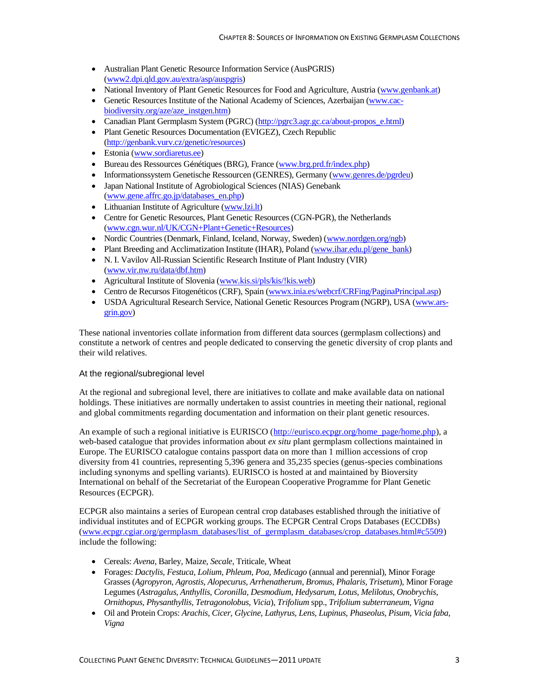- Australian Plant Genetic Resource Information Service (AusPGRIS) [\(www2.dpi.qld.gov.au/extra/asp/auspgris\)](http://www2.dpi.qld.gov.au/extra/asp/auspgris/)
- National Inventory of Plant Genetic Resources for Food and Agriculture, Austria [\(www.genbank.at\)](http://www.genbank.at/)
- Genetic Resources Institute of the National Academy of Sciences, Azerbaijan [\(www.cac](http://www.cac-biodiversity.org/aze/aze_instgen.htm)[biodiversity.org/aze/aze\\_instgen.htm\)](http://www.cac-biodiversity.org/aze/aze_instgen.htm)
- Canadian Plant Germplasm System (PGRC) [\(http://pgrc3.agr.gc.ca/about-propos\\_e.html\)](http://pgrc3.agr.gc.ca/about-propos_e.html)
- Plant Genetic Resources Documentation (EVIGEZ), Czech Republic [\(http://genbank.vurv.cz/genetic/resources\)](http://genbank.vurv.cz/genetic/resources/)
- Estonia [\(www.sordiaretus.ee\)](http://www.sordiaretus.ee/)
- Bureau des Ressources Génétiques (BRG), France [\(www.brg.prd.fr/index.php\)](http://www.brg.prd.fr/index.php)
- Informationssystem Genetische Ressourcen (GENRES), Germany [\(www.genres.de/pgrdeu\)](http://www.genres.de/pgrdeu/)
- Japan National Institute of Agrobiological Sciences (NIAS) Genebank [\(www.gene.affrc.go.jp/databases\\_en.php\)](http://www.gene.affrc.go.jp/databases_en.php)
- Lithuanian Institute of Agriculture [\(www.lzi.lt\)](http://www.lzi.lt/)
- Centre for Genetic Resources, Plant Genetic Resources (CGN-PGR), the Netherlands [\(www.cgn.wur.nl/UK/CGN+Plant+Genetic+Resources\)](http://www.cgn.wur.nl/UK/CGN+Plant+Genetic+Resources)
- Nordic Countries (Denmark, Finland, Iceland, Norway, Sweden) [\(www.nordgen.org/ngb\)](http://www.nordgen.org/ngb/)
- Plant Breeding and Acclimatization Institute (IHAR), Poland [\(www.ihar.edu.pl/gene\\_bank\)](http://www.ihar.edu.pl/gene_bank)
- N. I. Vavilov All-Russian Scientific Research Institute of Plant Industry (VIR) [\(www.vir.nw.ru/data/dbf.htm\)](http://www.vir.nw.ru/data/dbf.htm)
- Agricultural Institute of Slovenia [\(www.kis.si/pls/kis/!kis.web\)](http://www.kis.si/pls/kis/!kis.web)
- Centro de Recursos Fitogenéticos (CRF), Spain [\(wwwx.inia.es/webcrf/CRFing/PaginaPrincipal.asp\)](http://wwwx.inia.es/webcrf/CRFing/PaginaPrincipal.asp)
- USDA Agricultural Research Service, National Genetic Resources Program (NGRP), USA [\(www.ars](http://www.ars-grin.gov/)[grin.gov\)](http://www.ars-grin.gov/)

These national inventories collate information from different data sources (germplasm collections) and constitute a network of centres and people dedicated to conserving the genetic diversity of crop plants and their wild relatives.

#### At the regional/subregional level

At the regional and subregional level, there are initiatives to collate and make available data on national holdings. These initiatives are normally undertaken to assist countries in meeting their national, regional and global commitments regarding documentation and information on their plant genetic resources.

An example of such a regional initiative is EURISCO [\(http://eurisco.ecpgr.org/home\\_page/home.php\)](http://eurisco.ecpgr.org/home_page/home.php), a web-based catalogue that provides information about *ex situ* plant germplasm collections maintained in Europe. The EURISCO catalogue contains passport data on more than 1 million accessions of crop diversity from 41 countries, representing 5,396 genera and 35,235 species (genus-species combinations including synonyms and spelling variants). EURISCO is hosted at and maintained by Bioversity International on behalf of the Secretariat of the European Cooperative Programme for Plant Genetic Resources (ECPGR).

ECPGR also maintains a series of European central crop databases established through the initiative of individual institutes and of ECPGR working groups. The ECPGR Central Crops Databases (ECCDBs) [\(www.ecpgr.cgiar.org/germplasm\\_databases/list\\_of\\_germplasm\\_databases/crop\\_databases.html#c5509\)](http://www.ecpgr.cgiar.org/germplasm_databases/list_of_germplasm_databases/crop_databases.html%23c5509) include the following:

- Cereals: *Avena*, Barley, Maize, *Secale*, Triticale, Wheat
- Forages: *Dactylis, Festuca, Lolium, Phleum, Poa, Medicago* (annual and perennial), Minor Forage Grasses (*Agropyron, Agrostis, Alopecurus, Arrhenatherum, Bromus, Phalaris, Trisetum*), Minor Forage Legumes (*Astragalus, Anthyllis, Coronilla, Desmodium, Hedysarum, Lotus, Melilotus, Onobrychis, Ornithopus, Physanthyllis, Tetragonolobus, Vicia*), *Trifolium* spp., *Trifolium subterraneum, Vigna*
- Oil and Protein Crops: *Arachis, Cicer, Glycine, Lathyrus, Lens, Lupinus, Phaseolus, Pisum, Vicia faba, Vigna*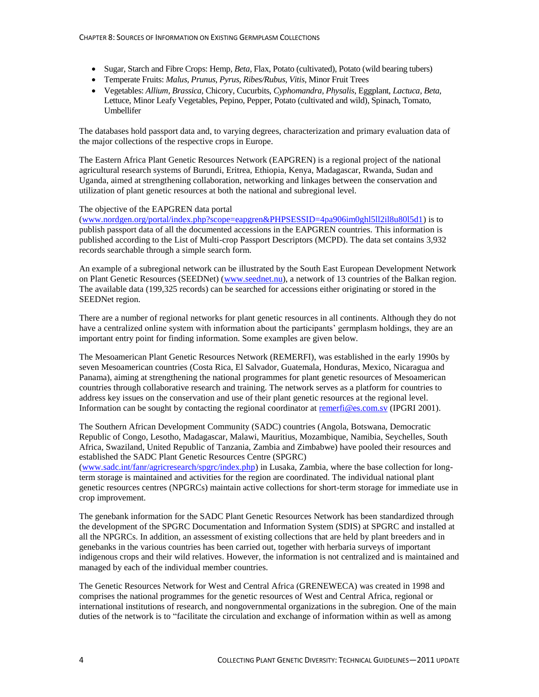- Sugar, Starch and Fibre Crops: Hemp, *Beta*, Flax, Potato (cultivated), Potato (wild bearing tubers)
- Temperate Fruits: *Malus, Prunus, Pyrus, Ribes/Rubus, Vitis*, Minor Fruit Trees
- Vegetables: *Allium, Brassica*, Chicory, Cucurbits, *Cyphomandra, Physalis*, Eggplant, *Lactuca, Beta*, Lettuce, Minor Leafy Vegetables, Pepino, Pepper, Potato (cultivated and wild), Spinach, Tomato, Umbellifer

The databases hold passport data and, to varying degrees, characterization and primary evaluation data of the major collections of the respective crops in Europe.

The Eastern Africa Plant Genetic Resources Network (EAPGREN) is a regional project of the national agricultural research systems of Burundi, Eritrea, Ethiopia, Kenya, Madagascar, Rwanda, Sudan and Uganda, aimed at strengthening collaboration, networking and linkages between the conservation and utilization of plant genetic resources at both the national and subregional level.

#### The objective of the EAPGREN data portal

[\(www.nordgen.org/portal/index.php?scope=eapgren&PHPSESSID=4pa906im0ghl5ll2il8u80l5d1\)](http://www.nordgen.org/portal/index.php?scope=eapgren&PHPSESSID=4pa906im0ghl5ll2il8u80l5d1) is to publish passport data of all the documented accessions in the EAPGREN countries. This information is published according to the List of Multi-crop Passport Descriptors (MCPD). The data set contains 3,932 records searchable through a simple search form.

An example of a subregional network can be illustrated by the South East European Development Network on Plant Genetic Resources (SEEDNet) [\(www.seednet.nu\)](http://www.seednet.nu/), a network of 13 countries of the Balkan region. The available data (199,325 records) can be searched for accessions either originating or stored in the SEEDNet region.

There are a number of regional networks for plant genetic resources in all continents. Although they do not have a centralized online system with information about the participants' germplasm holdings, they are an important entry point for finding information. Some examples are given below.

The Mesoamerican Plant Genetic Resources Network (REMERFI), was established in the early 1990s by seven Mesoamerican countries (Costa Rica, El Salvador, Guatemala, Honduras, Mexico, Nicaragua and Panama), aiming at strengthening the national programmes for plant genetic resources of Mesoamerican countries through collaborative research and training. The network serves as a platform for countries to address key issues on the conservation and use of their plant genetic resources at the regional level. Information can be sought by contacting the regional coordinator at [remerfi@es.com.sv](mailto:remerfi@es.com.sv) (IPGRI 2001).

The Southern African Development Community (SADC) countries (Angola, Botswana, Democratic Republic of Congo, Lesotho, Madagascar, Malawi, Mauritius, Mozambique, Namibia, Seychelles, South Africa, Swaziland, United Republic of Tanzania, Zambia and Zimbabwe) have pooled their resources and established the SADC Plant Genetic Resources Centre (SPGRC) [\(www.sadc.int/fanr/agricresearch/spgrc/index.php\)](http://www.sadc.int/fanr/agricresearch/spgrc/index.php) in Lusaka, Zambia, where the base collection for long-

term storage is maintained and activities for the region are coordinated. The individual national plant genetic resources centres (NPGRCs) maintain active collections for short-term storage for immediate use in crop improvement.

The genebank information for the SADC Plant Genetic Resources Network has been standardized through the development of the SPGRC Documentation and Information System (SDIS) at SPGRC and installed at all the NPGRCs. In addition, an assessment of existing collections that are held by plant breeders and in genebanks in the various countries has been carried out, together with herbaria surveys of important indigenous crops and their wild relatives. However, the information is not centralized and is maintained and managed by each of the individual member countries.

The Genetic Resources Network for West and Central Africa (GRENEWECA) was created in 1998 and comprises the national programmes for the genetic resources of West and Central Africa, regional or international institutions of research, and nongovernmental organizations in the subregion. One of the main duties of the network is to "facilitate the circulation and exchange of information within as well as among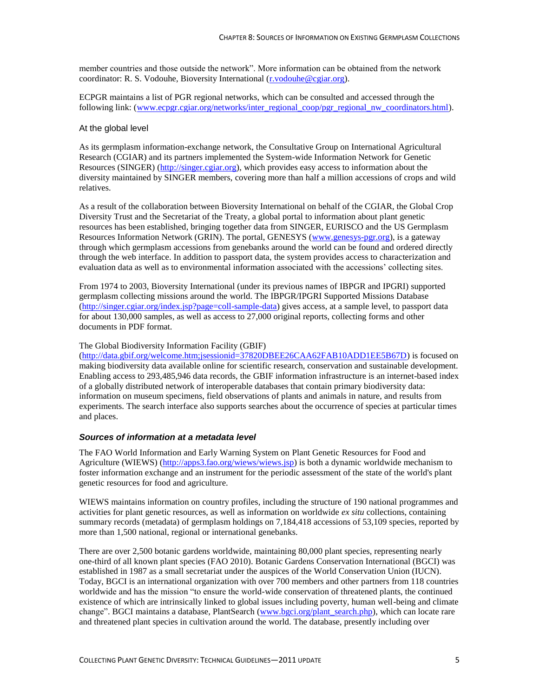member countries and those outside the network". More information can be obtained from the network coordinator: R. S. Vodouhe, Bioversity International [\(r.vodouhe@cgiar.org\)](mailto:r.vodouhe@cgiar.org).

ECPGR maintains a list of PGR regional networks, which can be consulted and accessed through the following link: [\(www.ecpgr.cgiar.org/networks/inter\\_regional\\_coop/pgr\\_regional\\_nw\\_coordinators.html\)](http://www.ecpgr.cgiar.org/networks/inter_regional_coop/pgr_regional_nw_coordinators.html).

#### At the global level

As its germplasm information-exchange network, the Consultative Group on International Agricultural Research (CGIAR) and its partners implemented the System-wide Information Network for Genetic Resources (SINGER) [\(http://singer.cgiar.org\)](http://singer.cgiar.org/), which provides easy access to information about the diversity maintained by SINGER members, covering more than half a million accessions of crops and wild relatives.

As a result of the collaboration between Bioversity International on behalf of the CGIAR, the Global Crop Diversity Trust and the Secretariat of the Treaty, a global portal to information about plant genetic resources has been established, bringing together data from SINGER, EURISCO and the US Germplasm Resources Information Network (GRIN). The portal, GENESYS [\(www.genesys-pgr.org\)](http://www.genesys-pgr.org/), is a gateway through which germplasm accessions from genebanks around the world can be found and ordered directly through the web interface. In addition to passport data, the system provides access to characterization and evaluation data as well as to environmental information associated with the accessions' collecting sites.

From 1974 to 2003, Bioversity International (under its previous names of IBPGR and IPGRI) supported germplasm collecting missions around the world. The IBPGR/IPGRI Supported Missions Database [\(http://singer.cgiar.org/index.jsp?page=coll-sample-data\)](http://singer.cgiar.org/index.jsp?page=coll-sample-data) gives access, at a sample level, to passport data for about 130,000 samples, as well as access to 27,000 original reports, collecting forms and other documents in PDF format.

#### The Global Biodiversity Information Facility (GBIF)

[\(http://data.gbif.org/welcome.htm;jsessionid=37820DBEE26CAA62FAB10ADD1EE5B67D\)](http://data.gbif.org/welcome.htm;jsessionid=37820DBEE26CAA62FAB10ADD1EE5B67D) is focused on making biodiversity data available online for scientific research, conservation and sustainable development. Enabling access to 293,485,946 data records, the GBIF information infrastructure is an internet-based index of a globally distributed network of interoperable databases that contain primary biodiversity data: information on museum specimens, field observations of plants and animals in nature, and results from experiments. The search interface also supports searches about the occurrence of species at particular times and places.

#### *Sources of information at a metadata level*

The FAO World Information and Early Warning System on Plant Genetic Resources for Food and Agriculture (WIEWS) [\(http://apps3.fao.org/wiews/wiews.jsp\)](http://apps3.fao.org/wiews/wiews.jsp) is both a dynamic worldwide mechanism to foster information exchange and an instrument for the periodic assessment of the state of the world's plant genetic resources for food and agriculture.

WIEWS maintains information on country profiles, including the structure of 190 national programmes and activities for plant genetic resources, as well as information on worldwide *ex situ* collections, containing summary records (metadata) of germplasm holdings on 7,184,418 accessions of 53,109 species, reported by more than 1,500 national, regional or international genebanks.

There are over 2,500 botanic gardens worldwide, maintaining 80,000 plant species, representing nearly one-third of all known plant species (FAO 2010). Botanic Gardens Conservation International (BGCI) was established in 1987 as a small secretariat under the auspices of the World Conservation Union (IUCN). Today, BGCI is an international organization with over 700 members and other partners from 118 countries worldwide and has the mission "to ensure the world-wide conservation of threatened plants, the continued existence of which are intrinsically linked to global issues including poverty, human well-being and climate change". BGCI maintains a database, PlantSearch [\(www.bgci.org/plant\\_search.php\)](http://www.bgci.org/plant_search.php), which can locate rare and threatened plant species in cultivation around the world. The database, presently including over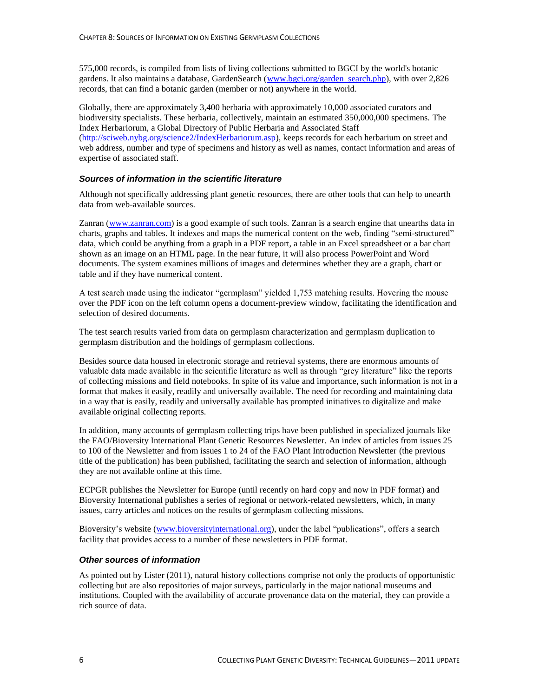575,000 records, is compiled from lists of living collections submitted to BGCI by the world's botanic gardens. It also maintains a database, GardenSearch [\(www.bgci.org/garden\\_search.php\)](http://www.bgci.org/garden_search.php), with over 2,826 records, that can find a botanic garden (member or not) anywhere in the world.

Globally, there are approximately 3,400 herbaria with approximately 10,000 associated curators and biodiversity specialists. These herbaria, collectively, maintain an estimated 350,000,000 specimens. The Index Herbariorum, a Global Directory of Public Herbaria and Associated Staff [\(http://sciweb.nybg.org/science2/IndexHerbariorum.asp\)](http://sciweb.nybg.org/science2/IndexHerbariorum.asp), keeps records for each herbarium on street and web address, number and type of specimens and history as well as names, contact information and areas of expertise of associated staff.

#### *Sources of information in the scientific literature*

Although not specifically addressing plant genetic resources, there are other tools that can help to unearth data from web-available sources.

Zanran [\(www.zanran.com\)](http://www.zanran.com/) is a good example of such tools. Zanran is a search engine that unearths data in charts, graphs and tables. It indexes and maps the numerical content on the web, finding "semi-structured" data, which could be anything from a graph in a PDF report, a table in an Excel spreadsheet or a bar chart shown as an image on an HTML page. In the near future, it will also process PowerPoint and Word documents. The system examines millions of images and determines whether they are a graph, chart or table and if they have numerical content.

A test search made using the indicator "germplasm" yielded 1,753 matching results. Hovering the mouse over the PDF icon on the left column opens a document-preview window, facilitating the identification and selection of desired documents.

The test search results varied from data on germplasm characterization and germplasm duplication to germplasm distribution and the holdings of germplasm collections.

Besides source data housed in electronic storage and retrieval systems, there are enormous amounts of valuable data made available in the scientific literature as well as through "grey literature" like the reports of collecting missions and field notebooks. In spite of its value and importance, such information is not in a format that makes it easily, readily and universally available. The need for recording and maintaining data in a way that is easily, readily and universally available has prompted initiatives to digitalize and make available original collecting reports.

In addition, many accounts of germplasm collecting trips have been published in specialized journals like the FAO/Bioversity International Plant Genetic Resources Newsletter. An index of articles from issues 25 to 100 of the Newsletter and from issues 1 to 24 of the FAO Plant Introduction Newsletter (the previous title of the publication) has been published, facilitating the search and selection of information, although they are not available online at this time.

ECPGR publishes the Newsletter for Europe (until recently on hard copy and now in PDF format) and Bioversity International publishes a series of regional or network-related newsletters, which, in many issues, carry articles and notices on the results of germplasm collecting missions.

Bioversity's website [\(www.bioversityinternational.org\)](http://www.bioversityinternational.org/), under the label "publications", offers a search facility that provides access to a number of these newsletters in PDF format.

#### *Other sources of information*

As pointed out by Lister (2011), natural history collections comprise not only the products of opportunistic collecting but are also repositories of major surveys, particularly in the major national museums and institutions. Coupled with the availability of accurate provenance data on the material, they can provide a rich source of data.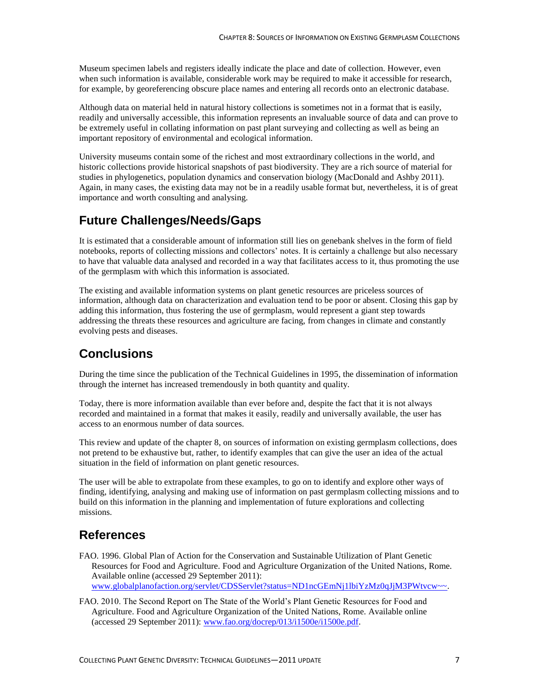Museum specimen labels and registers ideally indicate the place and date of collection. However, even when such information is available, considerable work may be required to make it accessible for research, for example, by georeferencing obscure place names and entering all records onto an electronic database.

Although data on material held in natural history collections is sometimes not in a format that is easily, readily and universally accessible, this information represents an invaluable source of data and can prove to be extremely useful in collating information on past plant surveying and collecting as well as being an important repository of environmental and ecological information.

University museums contain some of the richest and most extraordinary collections in the world, and historic collections provide historical snapshots of past biodiversity. They are a rich source of material for studies in phylogenetics, population dynamics and conservation biology (MacDonald and Ashby 2011). Again, in many cases, the existing data may not be in a readily usable format but, nevertheless, it is of great importance and worth consulting and analysing.

# **Future Challenges/Needs/Gaps**

It is estimated that a considerable amount of information still lies on genebank shelves in the form of field notebooks, reports of collecting missions and collectors' notes. It is certainly a challenge but also necessary to have that valuable data analysed and recorded in a way that facilitates access to it, thus promoting the use of the germplasm with which this information is associated.

The existing and available information systems on plant genetic resources are priceless sources of information, although data on characterization and evaluation tend to be poor or absent. Closing this gap by adding this information, thus fostering the use of germplasm, would represent a giant step towards addressing the threats these resources and agriculture are facing, from changes in climate and constantly evolving pests and diseases.

## **Conclusions**

During the time since the publication of the Technical Guidelines in 1995, the dissemination of information through the internet has increased tremendously in both quantity and quality.

Today, there is more information available than ever before and, despite the fact that it is not always recorded and maintained in a format that makes it easily, readily and universally available, the user has access to an enormous number of data sources.

This review and update of the chapter 8, on sources of information on existing germplasm collections, does not pretend to be exhaustive but, rather, to identify examples that can give the user an idea of the actual situation in the field of information on plant genetic resources.

The user will be able to extrapolate from these examples, to go on to identify and explore other ways of finding, identifying, analysing and making use of information on past germplasm collecting missions and to build on this information in the planning and implementation of future explorations and collecting missions.

### **References**

- FAO. 1996. Global Plan of Action for the Conservation and Sustainable Utilization of Plant Genetic Resources for Food and Agriculture. Food and Agriculture Organization of the United Nations, Rome. Available online (accessed 29 September 2011): [www.globalplanofaction.org/servlet/CDSServlet?status=ND1ncGEmNj1lbiYzMz0qJjM3PWtvcw~~.](http://www.globalplanofaction.org/servlet/CDSServlet?status=ND1ncGEmNj1lbiYzMz0qJjM3PWtvcw~~)
- FAO. 2010. The Second Report on The State of the World's Plant Genetic Resources for Food and Agriculture. Food and Agriculture Organization of the United Nations, Rome. Available online (accessed 29 September 2011): [www.fao.org/docrep/013/i1500e/i1500e.pdf.](http://www.fao.org/docrep/013/i1500e/i1500e.pdf)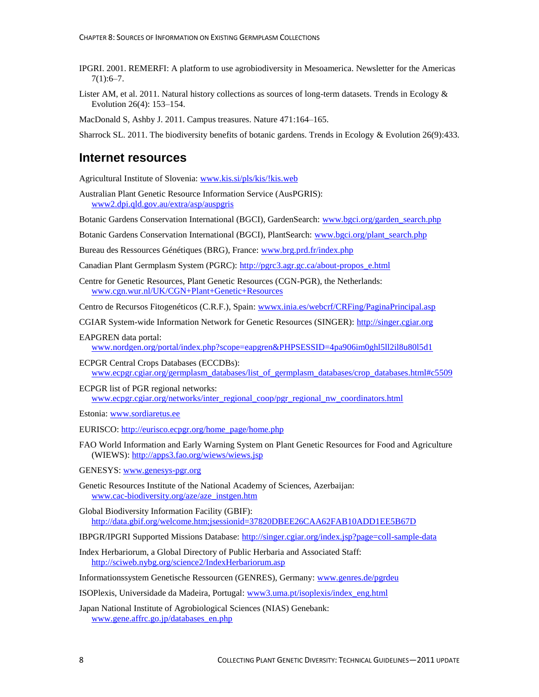- IPGRI. 2001. REMERFI: A platform to use agrobiodiversity in Mesoamerica. Newsletter for the Americas  $7(1):6-7.$
- Lister AM, et al. 2011. Natural history collections as sources of long-term datasets. Trends in Ecology & Evolution 26(4): 153–154.

MacDonald S, Ashby J. 2011. Campus treasures. Nature 471:164–165.

Sharrock SL. 2011. The biodiversity benefits of botanic gardens. Trends in Ecology & Evolution 26(9):433.

#### **Internet resources**

Agricultural Institute of Slovenia: [www.kis.si/pls/kis/!kis.web](http://www.kis.si/pls/kis/!kis.web)

Australian Plant Genetic Resource Information Service (AusPGRIS): [www2.dpi.qld.gov.au/extra/asp/auspgris](http://www2.dpi.qld.gov.au/extra/asp/auspgris/)

Botanic Gardens Conservation International (BGCI), GardenSearch: [www.bgci.org/garden\\_search.php](http://www.bgci.org/garden_search.php)

Botanic Gardens Conservation International (BGCI), PlantSearch: [www.bgci.org/plant\\_search.php](http://www.bgci.org/plant_search.php)

Bureau des Ressources Génétiques (BRG), France: [www.brg.prd.fr/index.php](http://www.brg.prd.fr/index.php)

Canadian Plant Germplasm System (PGRC): [http://pgrc3.agr.gc.ca/about-propos\\_e.html](http://pgrc3.agr.gc.ca/about-propos_e.html)

Centre for Genetic Resources, Plant Genetic Resources (CGN-PGR), the Netherlands: [www.cgn.wur.nl/UK/CGN+Plant+Genetic+Resources](http://www.cgn.wur.nl/UK/CGN+Plant+Genetic+Resources/)

Centro de Recursos Fitogenéticos (C.R.F.), Spain: www.inia.es/webcrf/CRFing/PaginaPrincipal.asp

- CGIAR System-wide Information Network for Genetic Resources (SINGER): [http://singer.cgiar.org](http://singer.cgiar.org/)
- EAPGREN data portal:

[www.nordgen.org/portal/index.php?scope=eapgren&PHPSESSID=4pa906im0ghl5ll2il8u80l5d1](http://www.nordgen.org/portal/index.php?scope=eapgren&PHPSESSID=4pa906im0ghl5ll2il8u80l5d1)

ECPGR Central Crops Databases (ECCDBs): [www.ecpgr.cgiar.org/germplasm\\_databases/list\\_of\\_germplasm\\_databases/crop\\_databases.html#c5509](http://www.ecpgr.cgiar.org/germplasm_databases/list_of_germplasm_databases/crop_databases.html%23c5509)

ECPGR list of PGR regional networks: [www.ecpgr.cgiar.org/networks/inter\\_regional\\_coop/pgr\\_regional\\_nw\\_coordinators.html](http://www.ecpgr.cgiar.org/networks/inter_regional_coop/pgr_regional_nw_coordinators.html)

Estonia: [www.sordiaretus.ee](http://www.sordiaretus.ee/)

EURISCO: [http://eurisco.ecpgr.org/home\\_page/home.php](http://eurisco.ecpgr.org/home_page/home.php)

FAO World Information and Early Warning System on Plant Genetic Resources for Food and Agriculture (WIEWS): <http://apps3.fao.org/wiews/wiews.jsp>

GENESYS: [www.genesys-pgr.org](http://www.genesys-pgr.org/)

Genetic Resources Institute of the National Academy of Sciences, Azerbaijan: [www.cac-biodiversity.org/aze/aze\\_instgen.htm](http://www.cac-biodiversity.org/aze/aze_instgen.htm)

Global Biodiversity Information Facility (GBIF): <http://data.gbif.org/welcome.htm;jsessionid=37820DBEE26CAA62FAB10ADD1EE5B67D>

IBPGR/IPGRI Supported Missions Database:<http://singer.cgiar.org/index.jsp?page=coll-sample-data>

- Index Herbariorum, a Global Directory of Public Herbaria and Associated Staff: <http://sciweb.nybg.org/science2/IndexHerbariorum.asp>
- Informationssystem Genetische Ressourcen (GENRES), Germany: [www.genres.de/pgrdeu](http://www.genres.de/pgrdeu/)

ISOPlexis, Universidade da Madeira, Portugal: [www3.uma.pt/isoplexis/index\\_eng.html](http://www3.uma.pt/isoplexis/index_eng.html)

Japan National Institute of Agrobiological Sciences (NIAS) Genebank: [www.gene.affrc.go.jp/databases\\_en.php](http://www.gene.affrc.go.jp/databases_en.php)